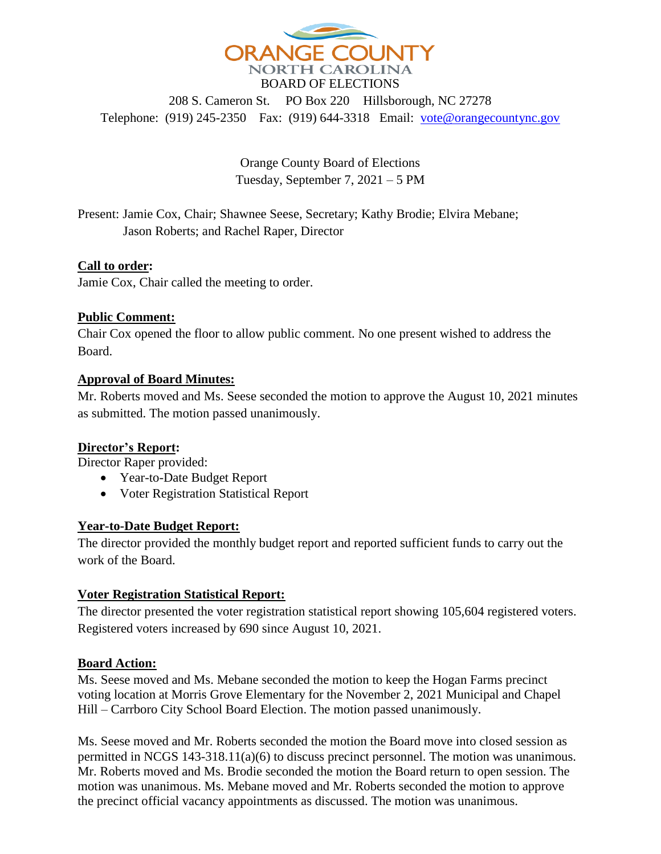

208 S. Cameron St. PO Box 220 Hillsborough, NC 27278 Telephone: (919) 245-2350 Fax: (919) 644-3318 Email: [vote@orangecountync.gov](mailto:vote@orangecountync.gov)

> Orange County Board of Elections Tuesday, September 7, 2021 – 5 PM

Present: Jamie Cox, Chair; Shawnee Seese, Secretary; Kathy Brodie; Elvira Mebane; Jason Roberts; and Rachel Raper, Director

## **Call to order:**

Jamie Cox, Chair called the meeting to order.

## **Public Comment:**

Chair Cox opened the floor to allow public comment. No one present wished to address the Board.

### **Approval of Board Minutes:**

Mr. Roberts moved and Ms. Seese seconded the motion to approve the August 10, 2021 minutes as submitted. The motion passed unanimously.

## **Director's Report:**

Director Raper provided:

- Year-to-Date Budget Report
- Voter Registration Statistical Report

## **Year-to-Date Budget Report:**

The director provided the monthly budget report and reported sufficient funds to carry out the work of the Board.

## **Voter Registration Statistical Report:**

The director presented the voter registration statistical report showing 105,604 registered voters. Registered voters increased by 690 since August 10, 2021.

## **Board Action:**

Ms. Seese moved and Ms. Mebane seconded the motion to keep the Hogan Farms precinct voting location at Morris Grove Elementary for the November 2, 2021 Municipal and Chapel Hill – Carrboro City School Board Election. The motion passed unanimously.

Ms. Seese moved and Mr. Roberts seconded the motion the Board move into closed session as permitted in NCGS 143-318.11(a)(6) to discuss precinct personnel. The motion was unanimous. Mr. Roberts moved and Ms. Brodie seconded the motion the Board return to open session. The motion was unanimous. Ms. Mebane moved and Mr. Roberts seconded the motion to approve the precinct official vacancy appointments as discussed. The motion was unanimous.